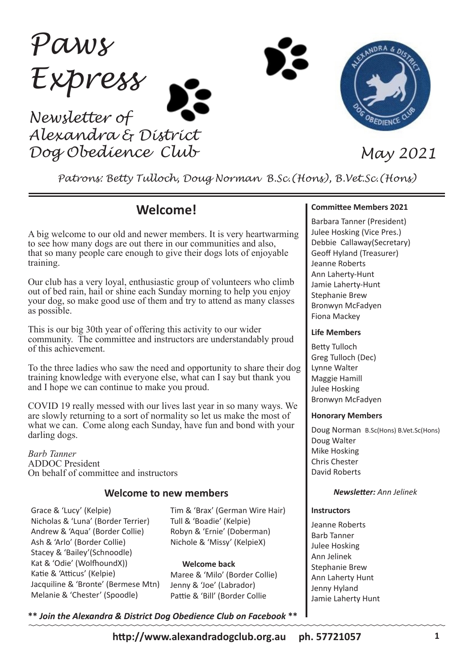*Paws Express Newsletter of Alexandra & District Dog Obedience Club May 2021*



*Patrons: Betty Tulloch, Doug Norman B.Sc.(Hons), B.Vet.Sc.(Hons)*

## **Welcome!**

A big welcome to our old and newer members. It is very heartwarming to see how many dogs are out there in our communities and also, that so many people care enough to give their dogs lots of enjoyable training.

Our club has a very loyal, enthusiastic group of volunteers who climb out of bed rain, hail or shine each Sunday morning to help you enjoy your dog, so make good use of them and try to attend as many classes as possible.

This is our big 30th year of offering this activity to our wider community. The committee and instructors are understandably proud of this achievement.

To the three ladies who saw the need and opportunity to share their dog training knowledge with everyone else, what can I say but thank you and I hope we can continue to make you proud.

COVID 19 really messed with our lives last year in so many ways. We are slowly returning to a sort of normality so let us make the most of what we can. Come along each Sunday, have fun and bond with your darling dogs.

*Barb Tanner* ADDOC President On behalf of committee and instructors

## **Welcome to new members** *Newsletter: Ann Jelinek*

Grace & 'Lucy' (Kelpie) Nicholas & 'Luna' (Border Terrier) Andrew & 'Aqua' (Border Collie) Ash & 'Arlo' (Border Collie) Stacey & 'Bailey'(Schnoodle) Kat & 'Odie' (WolfhoundX)) Katie & 'Atticus' (Kelpie) Jacquiline & 'Bronte' (Bermese Mtn) Melanie & 'Chester' (Spoodle)

Tim & 'Brax' (German Wire Hair) Tull & 'Boadie' (Kelpie) Robyn & 'Ernie' (Doberman) Nichole & 'Missy' (KelpieX)

#### **Welcome back**

Maree & 'Milo' (Border Collie) Jenny & 'Joe' (Labrador) Pattie & 'Bill' (Border Collie

**\*\*** *Join the Alexandra & District Dog Obedience Club on Facebook* **\*\***

#### **Committee Members 2021**

Barbara Tanner (President) Julee Hosking (Vice Pres.) Debbie Callaway(Secretary) Geoff Hyland (Treasurer) Jeanne Roberts Ann Laherty-Hunt Jamie Laherty-Hunt Stephanie Brew Bronwyn McFadyen Fiona Mackey

#### **Life Members**

Betty Tulloch Greg Tulloch (Dec) Lynne Walter Maggie Hamill Julee Hosking Bronwyn McFadyen

#### **Honorary Members**

Doug Norman B.Sc(Hons) B.Vet.Sc(Hons) Doug Walter Mike Hosking Chris Chester David Roberts

#### **Instructors**

Jeanne Roberts Barb Tanner Julee Hosking Ann Jelinek Stephanie Brew Ann Laherty Hunt Jenny Hyland Jamie Laherty Hunt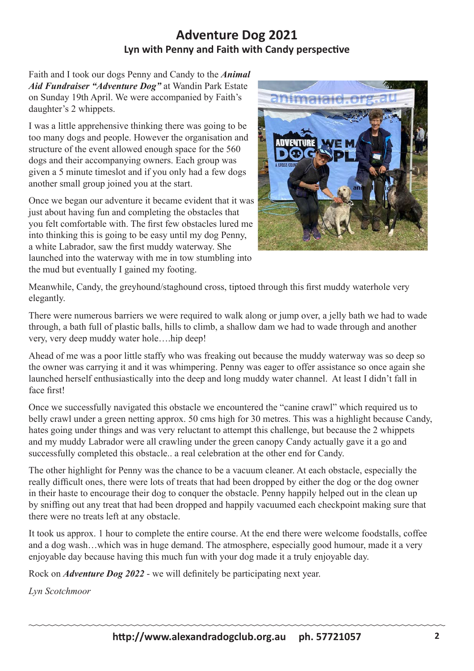## **Adventure Dog 2021 Lyn with Penny and Faith with Candy perspective**

Faith and I took our dogs Penny and Candy to the *Animal Aid Fundraiser "Adventure Dog"* at Wandin Park Estate on Sunday 19th April. We were accompanied by Faith's daughter's 2 whippets.

I was a little apprehensive thinking there was going to be too many dogs and people. However the organisation and structure of the event allowed enough space for the 560 dogs and their accompanying owners. Each group was given a 5 minute timeslot and if you only had a few dogs another small group joined you at the start.

Once we began our adventure it became evident that it was just about having fun and completing the obstacles that you felt comfortable with. The first few obstacles lured me into thinking this is going to be easy until my dog Penny, a white Labrador, saw the first muddy waterway. She launched into the waterway with me in tow stumbling into the mud but eventually I gained my footing.



Meanwhile, Candy, the greyhound/staghound cross, tiptoed through this first muddy waterhole very elegantly.

There were numerous barriers we were required to walk along or jump over, a jelly bath we had to wade through, a bath full of plastic balls, hills to climb, a shallow dam we had to wade through and another very, very deep muddy water hole….hip deep!

Ahead of me was a poor little staffy who was freaking out because the muddy waterway was so deep so the owner was carrying it and it was whimpering. Penny was eager to offer assistance so once again she launched herself enthusiastically into the deep and long muddy water channel. At least I didn't fall in face first!

Once we successfully navigated this obstacle we encountered the "canine crawl" which required us to belly crawl under a green netting approx. 50 cms high for 30 metres. This was a highlight because Candy, hates going under things and was very reluctant to attempt this challenge, but because the 2 whippets and my muddy Labrador were all crawling under the green canopy Candy actually gave it a go and successfully completed this obstacle.. a real celebration at the other end for Candy.

The other highlight for Penny was the chance to be a vacuum cleaner. At each obstacle, especially the really difficult ones, there were lots of treats that had been dropped by either the dog or the dog owner in their haste to encourage their dog to conquer the obstacle. Penny happily helped out in the clean up by sniffing out any treat that had been dropped and happily vacuumed each checkpoint making sure that there were no treats left at any obstacle.

It took us approx. 1 hour to complete the entire course. At the end there were welcome foodstalls, coffee and a dog wash…which was in huge demand. The atmosphere, especially good humour, made it a very enjoyable day because having this much fun with your dog made it a truly enjoyable day.

Rock on *Adventure Dog 2022* - we will definitely be participating next year.

*Lyn Scotchmoor*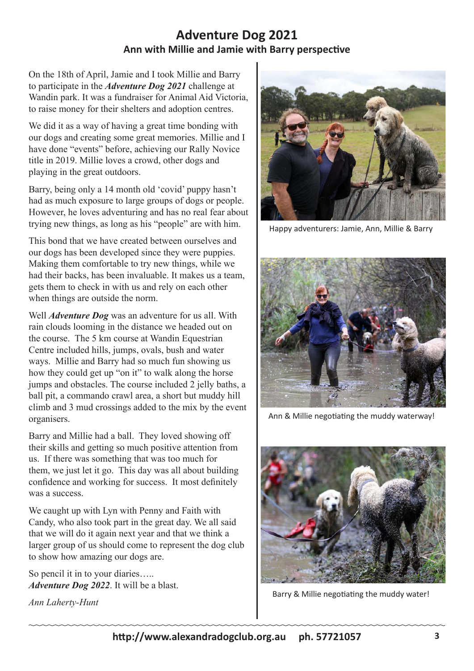## **Adventure Dog 2021 Ann with Millie and Jamie with Barry perspective**

On the 18th of April, Jamie and I took Millie and Barry to participate in the *Adventure Dog 2021* challenge at Wandin park. It was a fundraiser for Animal Aid Victoria, to raise money for their shelters and adoption centres.

We did it as a way of having a great time bonding with our dogs and creating some great memories. Millie and I have done "events" before, achieving our Rally Novice title in 2019. Millie loves a crowd, other dogs and playing in the great outdoors.

Barry, being only a 14 month old 'covid' puppy hasn't had as much exposure to large groups of dogs or people. However, he loves adventuring and has no real fear about trying new things, as long as his "people" are with him.

This bond that we have created between ourselves and our dogs has been developed since they were puppies. Making them comfortable to try new things, while we had their backs, has been invaluable. It makes us a team, gets them to check in with us and rely on each other when things are outside the norm.

Well *Adventure Dog* was an adventure for us all. With rain clouds looming in the distance we headed out on the course. The 5 km course at Wandin Equestrian Centre included hills, jumps, ovals, bush and water ways. Millie and Barry had so much fun showing us how they could get up "on it" to walk along the horse jumps and obstacles. The course included 2 jelly baths, a ball pit, a commando crawl area, a short but muddy hill climb and 3 mud crossings added to the mix by the event organisers.

Barry and Millie had a ball. They loved showing off their skills and getting so much positive attention from us. If there was something that was too much for them, we just let it go. This day was all about building confidence and working for success. It most definitely was a success.

We caught up with Lyn with Penny and Faith with Candy, who also took part in the great day. We all said that we will do it again next year and that we think a larger group of us should come to represent the dog club to show how amazing our dogs are.

So pencil it in to your diaries….. *Adventure Dog 2022*. It will be a blast.

*Ann Laherty-Hunt*



Happy adventurers: Jamie, Ann, Millie & Barry



Ann & Millie negotiating the muddy waterway!



Barry & Millie negotiating the muddy water!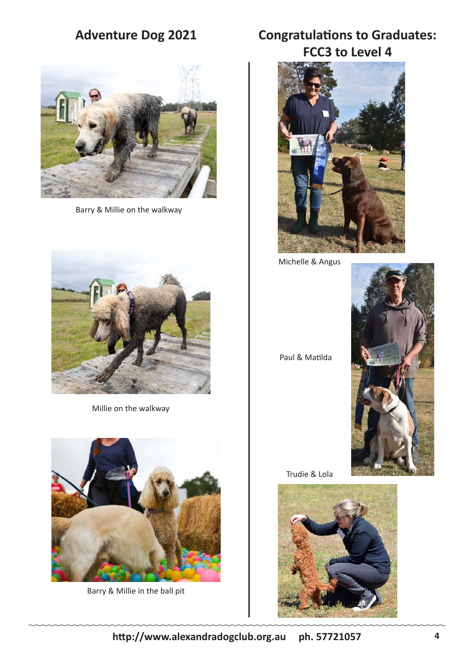# **Adventure Dog 2021**



Barry & Millie on the walkway



Millie on the walkway



Barry & Millie in the ball pit

# **Congratulations to Graduates: FCC3 to Level 4**



Michelle & Angus



Paul & Matilda

Trudie & Lola

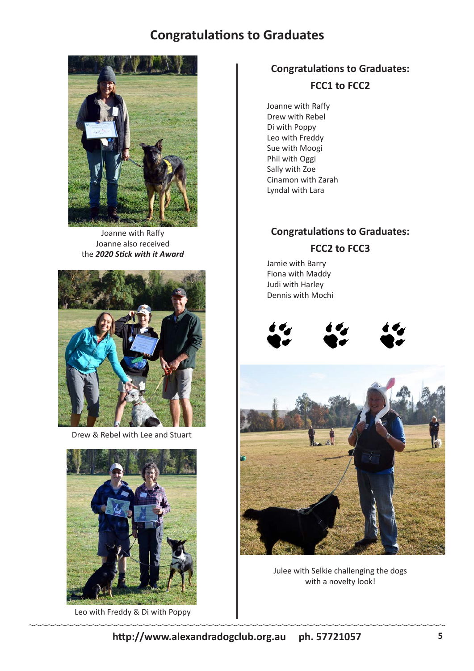## **Congratulations to Graduates**



Joanne with Raffy Joanne also received the *2020 Stick with it Award*



Drew & Rebel with Lee and Stuart



Leo with Freddy & Di with Poppy

## **Congratulations to Graduates: FCC1 to FCC2**

Joanne with Raffy Drew with Rebel Di with Poppy Leo with Freddy Sue with Moogi Phil with Oggi Sally with Zoe Cinamon with Zarah Lyndal with Lara

## **Congratulations to Graduates: FCC2 to FCC3**

Jamie with Barry Fiona with Maddy Judi with Harley Dennis with Mochi







Julee with Selkie challenging the dogs with a novelty look!